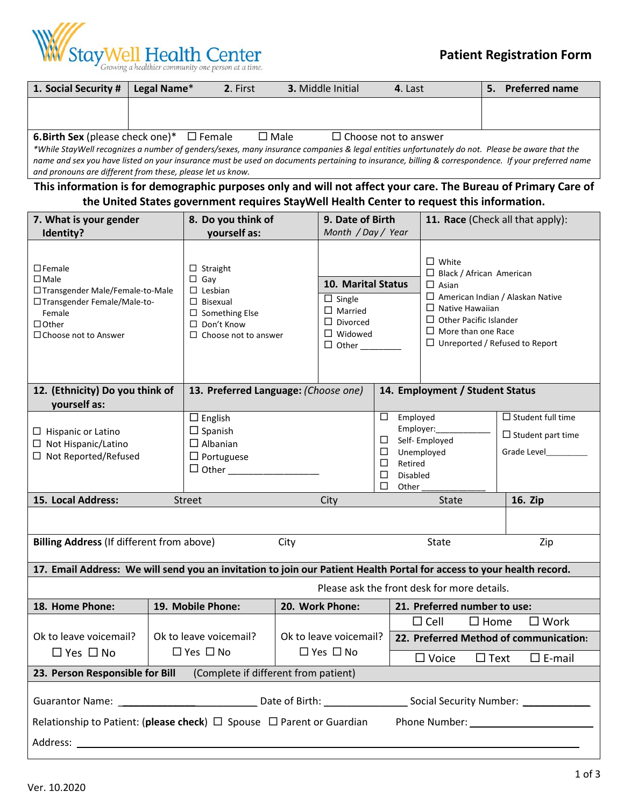

| 1. Social Security #                                                                                                                                                                                                                                                                                                                                                            | Legal Name* | 2. First       | <b>3.</b> Middle Initial    | 4. Last |  | <b>Preferred name</b> |
|---------------------------------------------------------------------------------------------------------------------------------------------------------------------------------------------------------------------------------------------------------------------------------------------------------------------------------------------------------------------------------|-------------|----------------|-----------------------------|---------|--|-----------------------|
|                                                                                                                                                                                                                                                                                                                                                                                 |             |                |                             |         |  |                       |
|                                                                                                                                                                                                                                                                                                                                                                                 |             |                |                             |         |  |                       |
| <b>6. Birth Sex</b> (please check one)* $\Box$ Female                                                                                                                                                                                                                                                                                                                           |             | $\square$ Male | $\Box$ Choose not to answer |         |  |                       |
| *While StayWell recognizes a number of genders/sexes, many insurance companies & legal entities unfortunately do not. Please be aware that the<br>. The contract of the contract of the contract of the contract of the contract of the contract of the contract of the contract of the contract of the contract of the contract of the contract of the contract of the contrac |             |                |                             |         |  |                       |

*name and sex you have listed on your insurance must be used on documents pertaining to insurance, billing & correspondence. If your preferred name and pronouns are different from these, please let us know.*

### **This information is for demographic purposes only and will not affect your care. The Bureau of Primary Care of the United States government requires StayWell Health Center to request this information.**

| 7. What is your gender                                                                                                                                       |  | 8. Do you think of<br>9. Date of Birth                                                                                                                                                                                                           |                      |                        |                                                                                                                                                                                                                                             | 11. Race (Check all that apply):            |                                 |                          |                          |
|--------------------------------------------------------------------------------------------------------------------------------------------------------------|--|--------------------------------------------------------------------------------------------------------------------------------------------------------------------------------------------------------------------------------------------------|----------------------|------------------------|---------------------------------------------------------------------------------------------------------------------------------------------------------------------------------------------------------------------------------------------|---------------------------------------------|---------------------------------|--------------------------|--------------------------|
| Identity?                                                                                                                                                    |  | yourself as:                                                                                                                                                                                                                                     |                      | Month / Day / Year     |                                                                                                                                                                                                                                             |                                             |                                 |                          |                          |
| $\square$ Female<br>$\square$ Male<br>□ Transgender Male/Female-to-Male<br>□ Transgender Female/Male-to-<br>Female<br>$\Box$ Other<br>□ Choose not to Answer |  | $\Box$ Straight<br>$\Box$ Gay<br>10. Marital Status<br>$\Box$ Lesbian<br>$\Box$ Single<br>$\Box$ Bisexual<br>$\Box$ Married<br>$\square$ Something Else<br>$\Box$ Divorced<br>$\Box$ Don't Know<br>$\Box$ Widowed<br>$\Box$ Choose not to answer |                      |                        | $\Box$ White<br>$\Box$ Black / African American<br>$\Box$ Asian<br>$\Box$ American Indian / Alaskan Native<br>$\Box$ Native Hawaiian<br>$\Box$ Other Pacific Islander<br>$\Box$ More than one Race<br>$\Box$ Unreported / Refused to Report |                                             |                                 |                          |                          |
| 12. (Ethnicity) Do you think of                                                                                                                              |  | 13. Preferred Language: (Choose one)                                                                                                                                                                                                             |                      |                        |                                                                                                                                                                                                                                             |                                             | 14. Employment / Student Status |                          |                          |
| yourself as:                                                                                                                                                 |  |                                                                                                                                                                                                                                                  |                      |                        |                                                                                                                                                                                                                                             |                                             |                                 |                          |                          |
|                                                                                                                                                              |  | $\square$ English                                                                                                                                                                                                                                |                      |                        | $\Box$                                                                                                                                                                                                                                      | Employed                                    |                                 |                          | $\Box$ Student full time |
| $\Box$ Hispanic or Latino                                                                                                                                    |  | $\Box$ Spanish                                                                                                                                                                                                                                   |                      |                        | □                                                                                                                                                                                                                                           | Employer:                                   |                                 | $\Box$ Student part time |                          |
| $\Box$ Not Hispanic/Latino                                                                                                                                   |  | $\Box$ Albanian                                                                                                                                                                                                                                  |                      |                        | ⊔                                                                                                                                                                                                                                           |                                             | Self-Employed                   |                          | Grade Level              |
| □ Not Reported/Refused                                                                                                                                       |  | $\Box$ Portuguese                                                                                                                                                                                                                                |                      |                        | □                                                                                                                                                                                                                                           | Unemployed<br>Retired                       |                                 |                          |                          |
|                                                                                                                                                              |  | $\Box$ Other                                                                                                                                                                                                                                     |                      | □                      |                                                                                                                                                                                                                                             | <b>Disabled</b>                             |                                 |                          |                          |
|                                                                                                                                                              |  |                                                                                                                                                                                                                                                  |                      |                        | □                                                                                                                                                                                                                                           | Other                                       |                                 |                          |                          |
| 15. Local Address:                                                                                                                                           |  | <b>Street</b>                                                                                                                                                                                                                                    |                      | City                   |                                                                                                                                                                                                                                             | <b>State</b>                                |                                 | 16. Zip                  |                          |
|                                                                                                                                                              |  |                                                                                                                                                                                                                                                  |                      |                        |                                                                                                                                                                                                                                             |                                             |                                 |                          |                          |
| <b>Billing Address (If different from above)</b>                                                                                                             |  |                                                                                                                                                                                                                                                  | City                 |                        |                                                                                                                                                                                                                                             | State<br>Zip                                |                                 |                          |                          |
| 17. Email Address: We will send you an invitation to join our Patient Health Portal for access to your health record.                                        |  |                                                                                                                                                                                                                                                  |                      |                        |                                                                                                                                                                                                                                             |                                             |                                 |                          |                          |
|                                                                                                                                                              |  |                                                                                                                                                                                                                                                  |                      |                        |                                                                                                                                                                                                                                             | Please ask the front desk for more details. |                                 |                          |                          |
| 18. Home Phone:                                                                                                                                              |  | 19. Mobile Phone:                                                                                                                                                                                                                                |                      | 20. Work Phone:        |                                                                                                                                                                                                                                             |                                             | 21. Preferred number to use:    |                          |                          |
|                                                                                                                                                              |  |                                                                                                                                                                                                                                                  |                      |                        |                                                                                                                                                                                                                                             |                                             | $\Box$ Cell<br>$\square$ Home   |                          | $\square$ Work           |
| Ok to leave voicemail?                                                                                                                                       |  | Ok to leave voicemail?                                                                                                                                                                                                                           |                      | Ok to leave voicemail? |                                                                                                                                                                                                                                             | 22. Preferred Method of communication:      |                                 |                          |                          |
| $\Box$ Yes $\Box$ No                                                                                                                                         |  | $\Box$ Yes $\Box$ No                                                                                                                                                                                                                             | $\Box$ Yes $\Box$ No |                        |                                                                                                                                                                                                                                             | $\Box$ Voice<br>$\Box$ Text                 |                                 | $\square$ E-mail         |                          |
| 23. Person Responsible for Bill<br>(Complete if different from patient)                                                                                      |  |                                                                                                                                                                                                                                                  |                      |                        |                                                                                                                                                                                                                                             |                                             |                                 |                          |                          |
|                                                                                                                                                              |  |                                                                                                                                                                                                                                                  |                      |                        |                                                                                                                                                                                                                                             |                                             |                                 |                          |                          |
| Relationship to Patient: (please check) $\Box$ Spouse $\Box$ Parent or Guardian                                                                              |  |                                                                                                                                                                                                                                                  |                      |                        |                                                                                                                                                                                                                                             |                                             |                                 |                          |                          |
| Address: Note and the set of the set of the set of the set of the set of the set of the set of the set of the                                                |  |                                                                                                                                                                                                                                                  |                      |                        |                                                                                                                                                                                                                                             |                                             |                                 |                          |                          |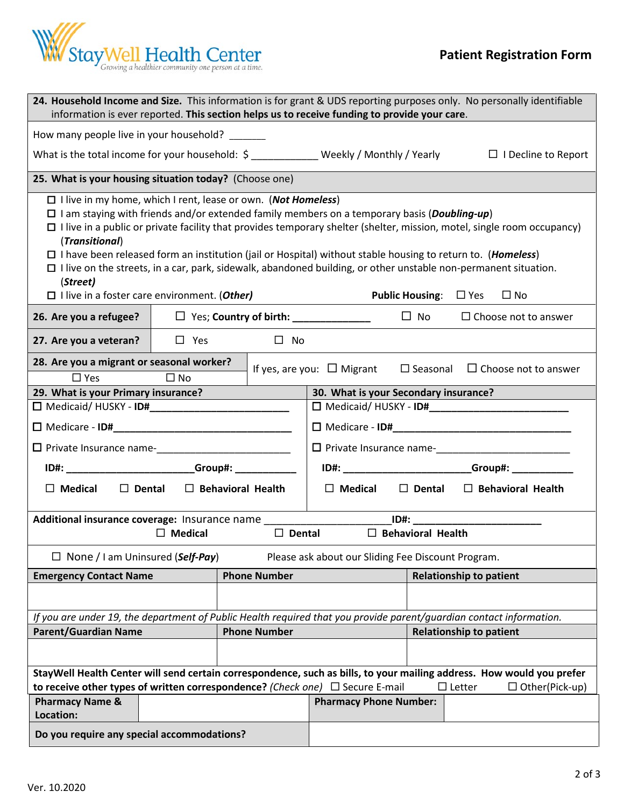

| 24. Household Income and Size. This information is for grant & UDS reporting purposes only. No personally identifiable<br>information is ever reported. This section helps us to receive funding to provide your care.                                                                                                                                                                                                                                                                                                                                                                                                                                                                                             |                                                                                                                        |                  |                                                     |                          |                                             |  |  |
|--------------------------------------------------------------------------------------------------------------------------------------------------------------------------------------------------------------------------------------------------------------------------------------------------------------------------------------------------------------------------------------------------------------------------------------------------------------------------------------------------------------------------------------------------------------------------------------------------------------------------------------------------------------------------------------------------------------------|------------------------------------------------------------------------------------------------------------------------|------------------|-----------------------------------------------------|--------------------------|---------------------------------------------|--|--|
| How many people live in your household? _______                                                                                                                                                                                                                                                                                                                                                                                                                                                                                                                                                                                                                                                                    |                                                                                                                        |                  |                                                     |                          |                                             |  |  |
|                                                                                                                                                                                                                                                                                                                                                                                                                                                                                                                                                                                                                                                                                                                    | What is the total income for your household: $\sin \theta$ masses weekly / Monthly / Yearly $\Box$ I Decline to Report |                  |                                                     |                          |                                             |  |  |
| 25. What is your housing situation today? (Choose one)                                                                                                                                                                                                                                                                                                                                                                                                                                                                                                                                                                                                                                                             |                                                                                                                        |                  |                                                     |                          |                                             |  |  |
| $\Box$ I live in my home, which I rent, lease or own. (Not Homeless)<br>$\Box$ I am staying with friends and/or extended family members on a temporary basis ( <i>Doubling-up</i> )<br>$\Box$ I live in a public or private facility that provides temporary shelter (shelter, mission, motel, single room occupancy)<br>(Transitional)<br>$\Box$ I have been released form an institution (jail or Hospital) without stable housing to return to. ( <i>Homeless</i> )<br>$\Box$ I live on the streets, in a car, park, sidewalk, abandoned building, or other unstable non-permanent situation.<br>(Street)<br><b>Public Housing:</b> $\Box$ Yes $\Box$ No<br>$\Box$ I live in a foster care environment. (Other) |                                                                                                                        |                  |                                                     |                          |                                             |  |  |
| 26. Are you a refugee?                                                                                                                                                                                                                                                                                                                                                                                                                                                                                                                                                                                                                                                                                             |                                                                                                                        |                  | $\Box$ Yes; Country of birth: _______________       |                          | $\Box$ No $\Box$ Choose not to answer       |  |  |
| 27. Are you a veteran?                                                                                                                                                                                                                                                                                                                                                                                                                                                                                                                                                                                                                                                                                             | $\Box$ Yes                                                                                                             | $\Box$ No        |                                                     |                          |                                             |  |  |
| 28. Are you a migrant or seasonal worker?<br>$\Box$ Yes                                                                                                                                                                                                                                                                                                                                                                                                                                                                                                                                                                                                                                                            | $\square$ No                                                                                                           |                  | If yes, are you: $\Box$ Migrant                     |                          | $\Box$ Seasonal $\Box$ Choose not to answer |  |  |
| 29. What is your Primary insurance?                                                                                                                                                                                                                                                                                                                                                                                                                                                                                                                                                                                                                                                                                |                                                                                                                        |                  | 30. What is your Secondary insurance?               |                          |                                             |  |  |
|                                                                                                                                                                                                                                                                                                                                                                                                                                                                                                                                                                                                                                                                                                                    |                                                                                                                        |                  |                                                     |                          |                                             |  |  |
|                                                                                                                                                                                                                                                                                                                                                                                                                                                                                                                                                                                                                                                                                                                    |                                                                                                                        |                  |                                                     |                          |                                             |  |  |
| □ Private Insurance name-<br>□ Private Insurance name-<br>□ Private Insurance name-                                                                                                                                                                                                                                                                                                                                                                                                                                                                                                                                                                                                                                |                                                                                                                        |                  |                                                     |                          |                                             |  |  |
| ID#: __________________________Group#: ____________                                                                                                                                                                                                                                                                                                                                                                                                                                                                                                                                                                                                                                                                |                                                                                                                        |                  | ID#: __________________________Group#: ____________ |                          |                                             |  |  |
| $\Box$ Medical<br>$\Box$ Dental $\Box$ Behavioral Health<br>$\Box$ Medical<br>$\Box$ Dental $\Box$ Behavioral Health                                                                                                                                                                                                                                                                                                                                                                                                                                                                                                                                                                                               |                                                                                                                        |                  |                                                     |                          |                                             |  |  |
|                                                                                                                                                                                                                                                                                                                                                                                                                                                                                                                                                                                                                                                                                                                    |                                                                                                                        |                  |                                                     |                          |                                             |  |  |
|                                                                                                                                                                                                                                                                                                                                                                                                                                                                                                                                                                                                                                                                                                                    | $\Box$ Medical                                                                                                         | $\square$ Dental |                                                     | $\Box$ Behavioral Health |                                             |  |  |
| $\Box$ None / I am Uninsured (Self-Pay)                                                                                                                                                                                                                                                                                                                                                                                                                                                                                                                                                                                                                                                                            |                                                                                                                        |                  | Please ask about our Sliding Fee Discount Program.  |                          |                                             |  |  |
| <b>Phone Number</b><br><b>Emergency Contact Name</b>                                                                                                                                                                                                                                                                                                                                                                                                                                                                                                                                                                                                                                                               |                                                                                                                        |                  |                                                     |                          | <b>Relationship to patient</b>              |  |  |
|                                                                                                                                                                                                                                                                                                                                                                                                                                                                                                                                                                                                                                                                                                                    |                                                                                                                        |                  |                                                     |                          |                                             |  |  |
| If you are under 19, the department of Public Health required that you provide parent/guardian contact information.                                                                                                                                                                                                                                                                                                                                                                                                                                                                                                                                                                                                |                                                                                                                        |                  |                                                     |                          |                                             |  |  |
| <b>Parent/Guardian Name</b><br><b>Phone Number</b>                                                                                                                                                                                                                                                                                                                                                                                                                                                                                                                                                                                                                                                                 |                                                                                                                        |                  | <b>Relationship to patient</b>                      |                          |                                             |  |  |
|                                                                                                                                                                                                                                                                                                                                                                                                                                                                                                                                                                                                                                                                                                                    |                                                                                                                        |                  |                                                     |                          |                                             |  |  |
| StayWell Health Center will send certain correspondence, such as bills, to your mailing address. How would you prefer<br>to receive other types of written correspondence? (Check one) $\Box$ Secure E-mail<br>$\Box$ Letter<br>$\Box$ Other(Pick-up)                                                                                                                                                                                                                                                                                                                                                                                                                                                              |                                                                                                                        |                  |                                                     |                          |                                             |  |  |
| <b>Pharmacy Name &amp;</b><br>Location:                                                                                                                                                                                                                                                                                                                                                                                                                                                                                                                                                                                                                                                                            |                                                                                                                        |                  | <b>Pharmacy Phone Number:</b>                       |                          |                                             |  |  |
| Do you require any special accommodations?                                                                                                                                                                                                                                                                                                                                                                                                                                                                                                                                                                                                                                                                         |                                                                                                                        |                  |                                                     |                          |                                             |  |  |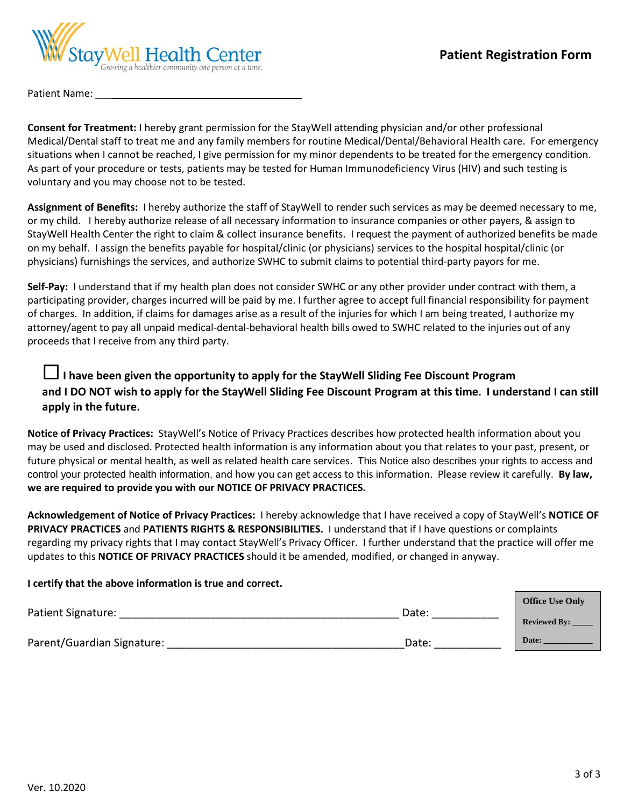

Patient Name:

**Consent for Treatment:** I hereby grant permission for the StayWell attending physician and/or other professional Medical/Dental staff to treat me and any family members for routine Medical/Dental/Behavioral Health care. For emergency situations when I cannot be reached, I give permission for my minor dependents to be treated for the emergency condition. As part of your procedure or tests, patients may be tested for Human Immunodeficiency Virus (HIV) and such testing is voluntary and you may choose not to be tested.

**Assignment of Benefits:** I hereby authorize the staff of StayWell to render such services as may be deemed necessary to me, or my child. I hereby authorize release of all necessary information to insurance companies or other payers, & assign to StayWell Health Center the right to claim & collect insurance benefits. I request the payment of authorized benefits be made on my behalf. I assign the benefits payable for hospital/clinic (or physicians) services to the hospital hospital/clinic (or physicians) furnishings the services, and authorize SWHC to submit claims to potential third-party payors for me.

**Self-Pay:** I understand that if my health plan does not consider SWHC or any other provider under contract with them, a participating provider, charges incurred will be paid by me. I further agree to accept full financial responsibility for payment of charges. In addition, if claims for damages arise as a result of the injuries for which I am being treated, I authorize my attorney/agent to pay all unpaid medical-dental-behavioral health bills owed to SWHC related to the injuries out of any proceeds that I receive from any third party.

# **I have been given the opportunity to apply for the StayWell Sliding Fee Discount Program and I DO NOT wish to apply for the StayWell Sliding Fee Discount Program at this time. I understand I can still apply in the future.**

**Notice of Privacy Practices:** StayWell's Notice of Privacy Practices describes how protected health information about you may be used and disclosed. Protected health information is any information about you that relates to your past, present, or future physical or mental health, as well as related health care services. This Notice also describes your rights to access and control your protected health information, and how you can get access to this information. Please review it carefully. **By law, we are required to provide you with our NOTICE OF PRIVACY PRACTICES.** 

**Acknowledgement of Notice of Privacy Practices:** I hereby acknowledge that I have received a copy of StayWell's **NOTICE OF PRIVACY PRACTICES** and **PATIENTS RIGHTS & RESPONSIBILITIES.** I understand that if I have questions or complaints regarding my privacy rights that I may contact StayWell's Privacy Officer. I further understand that the practice will offer me updates to this **NOTICE OF PRIVACY PRACTICES** should it be amended, modified, or changed in anyway.

### **I certify that the above information is true and correct.**

|       | <b>Reviewed By:</b> |  |
|-------|---------------------|--|
| Date: | Date:               |  |
|       | Date:               |  |